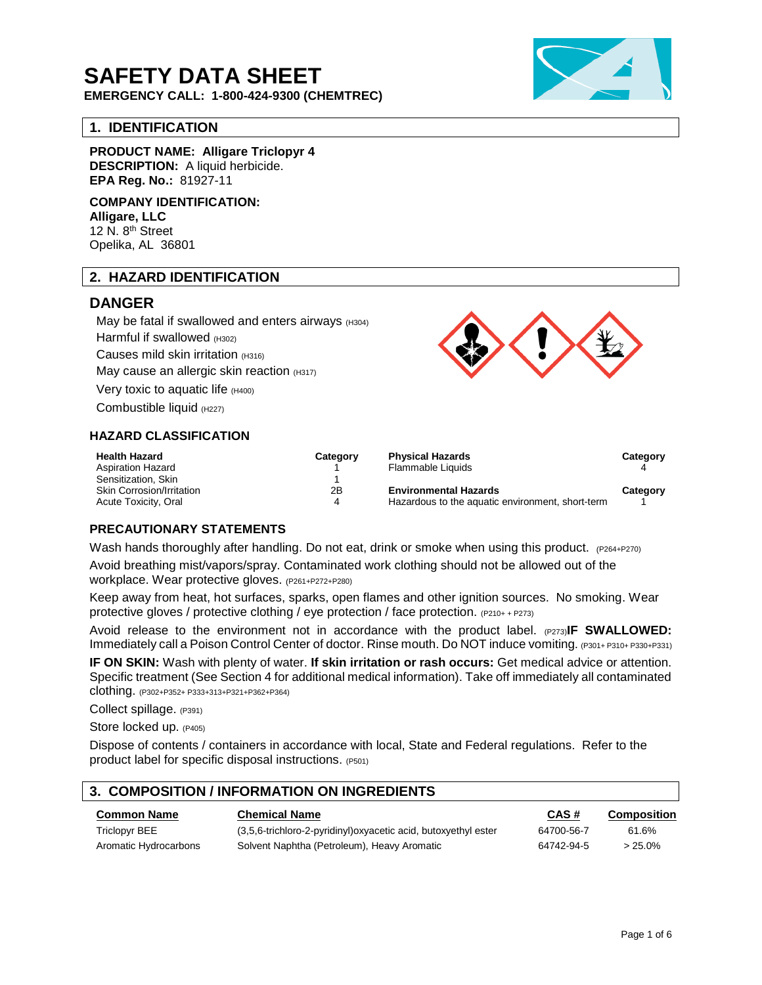# **SAFETY DATA SHEET**

**EMERGENCY CALL: 1-800-424-9300 (CHEMTREC)**

#### **1. IDENTIFICATION**

**PRODUCT NAME: Alligare Triclopyr 4**

**DESCRIPTION:** A liquid herbicide. **EPA Reg. No.:** 81927-11

**COMPANY IDENTIFICATION: Alligare, LLC** 12 N. 8<sup>th</sup> Street Opelika, AL 36801

### **2. HAZARD IDENTIFICATION**

### **DANGER**

May be fatal if swallowed and enters airways  $(H304)$ Harmful if swallowed (H302) Causes mild skin irritation (H316) May cause an allergic skin reaction (H317) Very toxic to aquatic life (H400)

Combustible liquid (H227)

#### **HAZARD CLASSIFICATION**

| <b>Health Hazard</b><br><b>Aspiration Hazard</b><br>Sensitization, Skin | Category | <b>Physical Hazards</b><br>Flammable Liquids     | Category |
|-------------------------------------------------------------------------|----------|--------------------------------------------------|----------|
| <b>Skin Corrosion/Irritation</b>                                        | 2Β       | <b>Environmental Hazards</b>                     | Category |
| Acute Toxicity, Oral                                                    | 4        | Hazardous to the aquatic environment, short-term |          |

#### **PRECAUTIONARY STATEMENTS**

Wash hands thoroughly after handling. Do not eat, drink or smoke when using this product. (P264+P270)

Avoid breathing mist/vapors/spray. Contaminated work clothing should not be allowed out of the workplace. Wear protective gloves. (P261+P272+P280)

Keep away from heat, hot surfaces, sparks, open flames and other ignition sources. No smoking. Wear protective gloves / protective clothing / eye protection / face protection. (P210+ <sup>+</sup> P273)

Avoid release to the environment not in accordance with the product label. (P273)**IF SWALLOWED:** Immediately call a Poison Control Center of doctor. Rinse mouth. Do NOT induce vomiting. (P301+ P310+ P330+P331)

**IF ON SKIN:** Wash with plenty of water. **If skin irritation or rash occurs:** Get medical advice or attention. Specific treatment (See Section 4 for additional medical information). Take off immediately all contaminated clothing. (P302+P352+ P333+313+P321+P362+P364)

Collect spillage. (P391)

Store locked up. (P405)

Dispose of contents / containers in accordance with local, State and Federal regulations. Refer to the product label for specific disposal instructions. (P501)

## **3. COMPOSITION / INFORMATION ON INGREDIENTS Common Name Chemical Name CAS # Composition**

| <b>UUIIIIIUII INAIIIE</b> | <b>UIBIIIUAI NAIIE</b>                                          | <b>UAJ#</b> | <b>COMPOSITION</b> |
|---------------------------|-----------------------------------------------------------------|-------------|--------------------|
| Triclopyr BEE             | (3,5,6-trichloro-2-pyridinyl) oxyacetic acid, butoxyethyl ester | 64700-56-7  | 61.6%              |
| Aromatic Hydrocarbons     | Solvent Naphtha (Petroleum), Heavy Aromatic                     | 64742-94-5  | $>25.0\%$          |

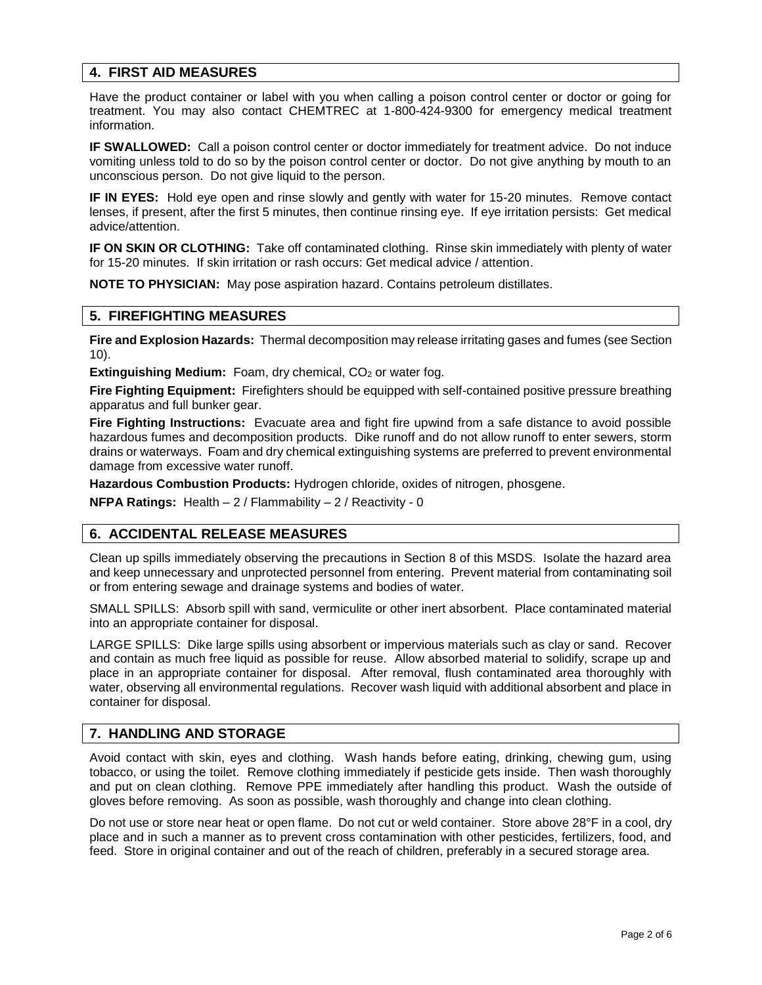#### **4. FIRST AID MEASURES**

Have the product container or label with you when calling a poison control center or doctor or going for treatment. You may also contact CHEMTREC at 1-800-424-9300 for emergency medical treatment information.

**IF SWALLOWED:** Call a poison control center or doctor immediately for treatment advice. Do not induce vomiting unless told to do so by the poison control center or doctor. Do not give anything by mouth to an unconscious person. Do not give liquid to the person.

**IF IN EYES:** Hold eye open and rinse slowly and gently with water for 15-20 minutes. Remove contact lenses, if present, after the first 5 minutes, then continue rinsing eye. If eye irritation persists: Get medical advice/attention.

**IF ON SKIN OR CLOTHING:** Take off contaminated clothing. Rinse skin immediately with plenty of water for 15-20 minutes. If skin irritation or rash occurs: Get medical advice / attention.

**NOTE TO PHYSICIAN:** May pose aspiration hazard. Contains petroleum distillates.

#### **5. FIREFIGHTING MEASURES**

**Fire and Explosion Hazards:** Thermal decomposition may release irritating gases and fumes (see Section 10).

**Extinguishing Medium:** Foam, dry chemical, CO<sub>2</sub> or water fog.

**Fire Fighting Equipment:** Firefighters should be equipped with self-contained positive pressure breathing apparatus and full bunker gear.

**Fire Fighting Instructions:** Evacuate area and fight fire upwind from a safe distance to avoid possible hazardous fumes and decomposition products. Dike runoff and do not allow runoff to enter sewers, storm drains or waterways. Foam and dry chemical extinguishing systems are preferred to prevent environmental damage from excessive water runoff.

**Hazardous Combustion Products:** Hydrogen chloride, oxides of nitrogen, phosgene.

**NFPA Ratings:** Health – 2 / Flammability – 2 / Reactivity - 0

#### **6. ACCIDENTAL RELEASE MEASURES**

Clean up spills immediately observing the precautions in Section 8 of this MSDS. Isolate the hazard area and keep unnecessary and unprotected personnel from entering. Prevent material from contaminating soil or from entering sewage and drainage systems and bodies of water.

SMALL SPILLS: Absorb spill with sand, vermiculite or other inert absorbent. Place contaminated material into an appropriate container for disposal.

LARGE SPILLS: Dike large spills using absorbent or impervious materials such as clay or sand. Recover and contain as much free liquid as possible for reuse. Allow absorbed material to solidify, scrape up and place in an appropriate container for disposal. After removal, flush contaminated area thoroughly with water, observing all environmental regulations. Recover wash liquid with additional absorbent and place in container for disposal.

#### **7. HANDLING AND STORAGE**

Avoid contact with skin, eyes and clothing. Wash hands before eating, drinking, chewing gum, using tobacco, or using the toilet. Remove clothing immediately if pesticide gets inside. Then wash thoroughly and put on clean clothing. Remove PPE immediately after handling this product. Wash the outside of gloves before removing. As soon as possible, wash thoroughly and change into clean clothing.

Do not use or store near heat or open flame. Do not cut or weld container. Store above 28°F in a cool, dry place and in such a manner as to prevent cross contamination with other pesticides, fertilizers, food, and feed. Store in original container and out of the reach of children, preferably in a secured storage area.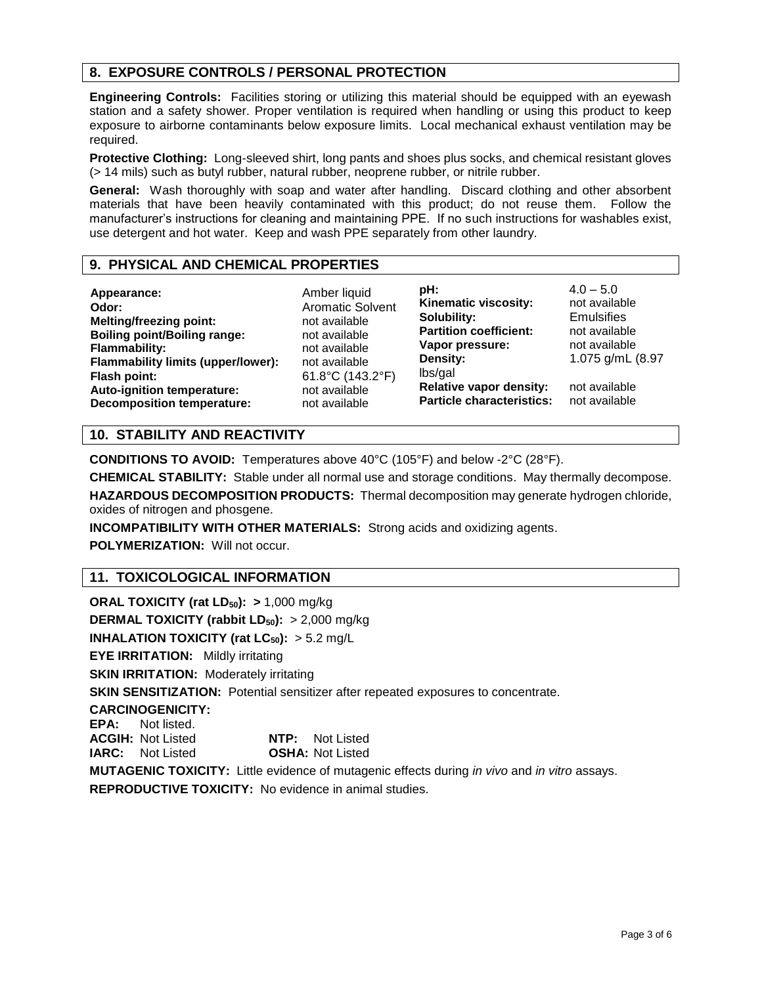### **8. EXPOSURE CONTROLS / PERSONAL PROTECTION**

**Engineering Controls:** Facilities storing or utilizing this material should be equipped with an eyewash station and a safety shower. Proper ventilation is required when handling or using this product to keep exposure to airborne contaminants below exposure limits. Local mechanical exhaust ventilation may be required.

**Protective Clothing:** Long-sleeved shirt, long pants and shoes plus socks, and chemical resistant gloves (> 14 mils) such as butyl rubber, natural rubber, neoprene rubber, or nitrile rubber.

**General:** Wash thoroughly with soap and water after handling. Discard clothing and other absorbent materials that have been heavily contaminated with this product; do not reuse them. Follow the manufacturer's instructions for cleaning and maintaining PPE. If no such instructions for washables exist, use detergent and hot water. Keep and wash PPE separately from other laundry.

#### **9. PHYSICAL AND CHEMICAL PROPERTIES**

**Appearance:** Amber liquid<br> **Odor:** Aromatic Sol **Melting/freezing point:** not available **Boiling point/Boiling range:** not available **Flammability:** not available **Flammability limits (upper/lower):** not available **Flash point:** 61.8°C (143.2°F) **Auto-ignition temperature:** not available **Decomposition temperature:** not available

**Odor:** Aromatic Solvent

**pH:** 4.0 – 5.0<br>**Kinematic viscositv:** not available **Kinematic viscosity: Solubility:** Emulsifies **Partition coefficient:** not available **Vapor pressure:** not available **Density:** 1.075 g/mL (8.97 lbs/gal **Relative vapor density:** not available **Particle characteristics:** not available

#### **10. STABILITY AND REACTIVITY**

**CONDITIONS TO AVOID:** Temperatures above 40°C (105°F) and below -2°C (28°F).

**CHEMICAL STABILITY:** Stable under all normal use and storage conditions. May thermally decompose.

**HAZARDOUS DECOMPOSITION PRODUCTS:** Thermal decomposition may generate hydrogen chloride, oxides of nitrogen and phosgene.

**INCOMPATIBILITY WITH OTHER MATERIALS:** Strong acids and oxidizing agents.

**POLYMERIZATION: Will not occur.** 

### **11. TOXICOLOGICAL INFORMATION**

**ORAL TOXICITY (rat LD50): >** 1,000 mg/kg **DERMAL TOXICITY (rabbit LD50):** > 2,000 mg/kg **INHALATION TOXICITY (rat**  $LC_{50}$ **):**  $> 5.2$  mg/L **EYE IRRITATION:** Mildly irritating **SKIN IRRITATION: Moderately irritating SKIN SENSITIZATION:** Potential sensitizer after repeated exposures to concentrate. **CARCINOGENICITY: EPA:** Not listed. **ACGIH:** Not Listed **NTP:** Not Listed **IARC:** Not Listed **OSHA:** Not Listed **MUTAGENIC TOXICITY:** Little evidence of mutagenic effects during *in vivo* and *in vitro* assays.

**REPRODUCTIVE TOXICITY:** No evidence in animal studies.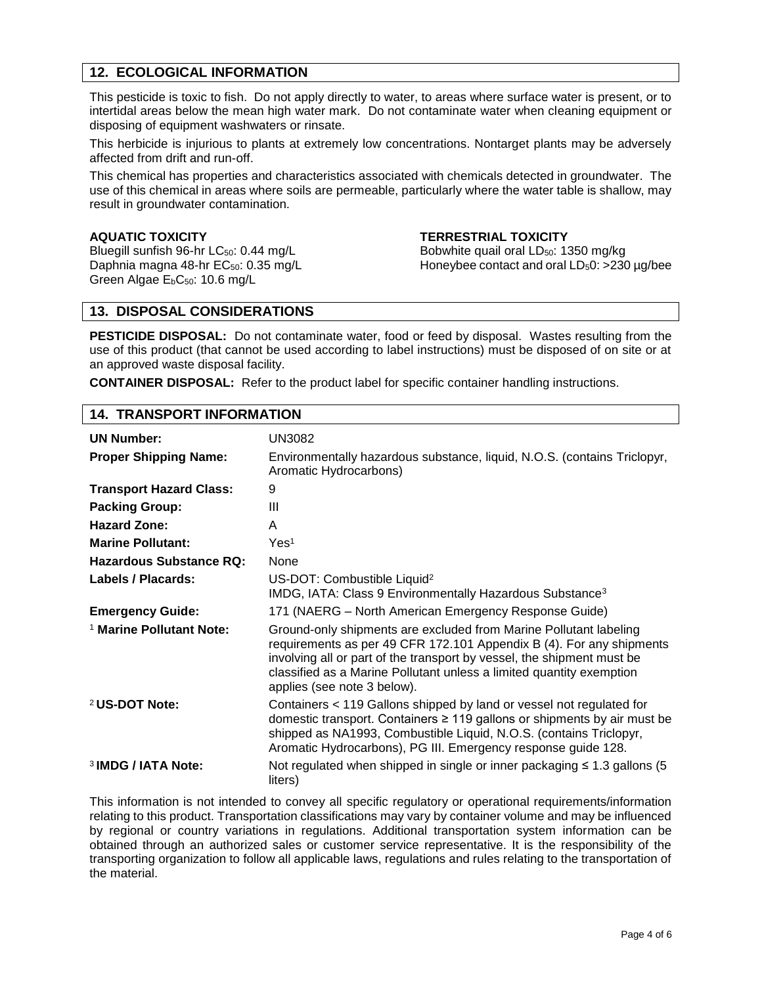#### **12. ECOLOGICAL INFORMATION**

This pesticide is toxic to fish. Do not apply directly to water, to areas where surface water is present, or to intertidal areas below the mean high water mark. Do not contaminate water when cleaning equipment or disposing of equipment washwaters or rinsate.

This herbicide is injurious to plants at extremely low concentrations. Nontarget plants may be adversely affected from drift and run-off.

This chemical has properties and characteristics associated with chemicals detected in groundwater. The use of this chemical in areas where soils are permeable, particularly where the water table is shallow, may result in groundwater contamination.

Bluegill sunfish 96-hr  $LC_{50}$ : 0.44 mg/L Bobwhite quail oral  $LD_{50}$ : 1350 mg/kg Green Algae E<sub>b</sub>C<sub>50</sub>: 10.6 mg/L

#### **AQUATIC TOXICITY TERRESTRIAL TOXICITY**

Daphnia magna 48-hr EC<sub>50</sub>: 0.35 mg/L Honeybee contact and oral LD<sub>5</sub>0: >230 µg/bee

#### **13. DISPOSAL CONSIDERATIONS**

**PESTICIDE DISPOSAL:** Do not contaminate water, food or feed by disposal.Wastes resulting from the use of this product (that cannot be used according to label instructions) must be disposed of on site or at an approved waste disposal facility.

**CONTAINER DISPOSAL:** Refer to the product label for specific container handling instructions.

#### **14. TRANSPORT INFORMATION**

| <b>UN Number:</b>                   | UN3082                                                                                                                                                                                                                                                                                                                     |
|-------------------------------------|----------------------------------------------------------------------------------------------------------------------------------------------------------------------------------------------------------------------------------------------------------------------------------------------------------------------------|
| <b>Proper Shipping Name:</b>        | Environmentally hazardous substance, liquid, N.O.S. (contains Triclopyr,<br>Aromatic Hydrocarbons)                                                                                                                                                                                                                         |
| <b>Transport Hazard Class:</b>      | 9                                                                                                                                                                                                                                                                                                                          |
| <b>Packing Group:</b>               | Ш                                                                                                                                                                                                                                                                                                                          |
| <b>Hazard Zone:</b>                 | A                                                                                                                                                                                                                                                                                                                          |
| <b>Marine Pollutant:</b>            | Yes <sup>1</sup>                                                                                                                                                                                                                                                                                                           |
| <b>Hazardous Substance RQ:</b>      | <b>None</b>                                                                                                                                                                                                                                                                                                                |
| Labels / Placards:                  | US-DOT: Combustible Liquid <sup>2</sup><br>IMDG, IATA: Class 9 Environmentally Hazardous Substance <sup>3</sup>                                                                                                                                                                                                            |
| <b>Emergency Guide:</b>             | 171 (NAERG - North American Emergency Response Guide)                                                                                                                                                                                                                                                                      |
| <sup>1</sup> Marine Pollutant Note: | Ground-only shipments are excluded from Marine Pollutant labeling<br>requirements as per 49 CFR 172.101 Appendix B (4). For any shipments<br>involving all or part of the transport by vessel, the shipment must be<br>classified as a Marine Pollutant unless a limited quantity exemption<br>applies (see note 3 below). |
| <sup>2</sup> US-DOT Note:           | Containers < 119 Gallons shipped by land or vessel not regulated for<br>domestic transport. Containers ≥ 119 gallons or shipments by air must be<br>shipped as NA1993, Combustible Liquid, N.O.S. (contains Triclopyr,<br>Aromatic Hydrocarbons), PG III. Emergency response guide 128.                                    |
| <sup>3</sup> IMDG / IATA Note:      | Not regulated when shipped in single or inner packaging $\leq 1.3$ gallons (5)<br>liters)                                                                                                                                                                                                                                  |

This information is not intended to convey all specific regulatory or operational requirements/information relating to this product. Transportation classifications may vary by container volume and may be influenced by regional or country variations in regulations. Additional transportation system information can be obtained through an authorized sales or customer service representative. It is the responsibility of the transporting organization to follow all applicable laws, regulations and rules relating to the transportation of the material.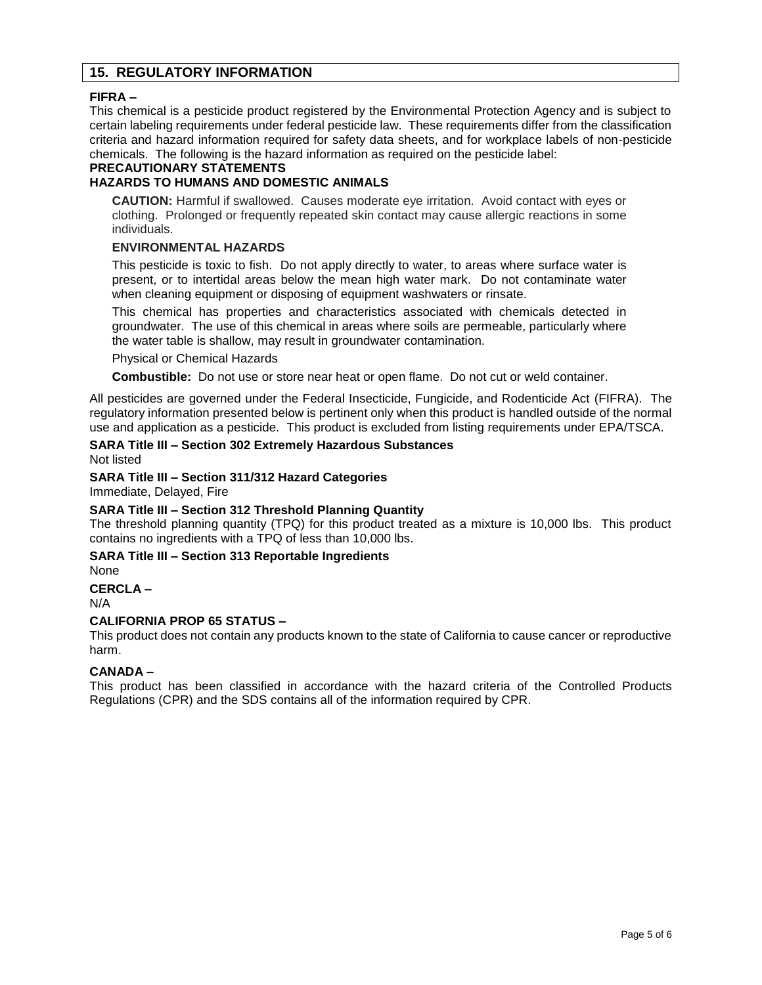#### **15. REGULATORY INFORMATION**

#### **FIFRA –**

This chemical is a pesticide product registered by the Environmental Protection Agency and is subject to certain labeling requirements under federal pesticide law. These requirements differ from the classification criteria and hazard information required for safety data sheets, and for workplace labels of non-pesticide chemicals. The following is the hazard information as required on the pesticide label:

#### **PRECAUTIONARY STATEMENTS**

#### **HAZARDS TO HUMANS AND DOMESTIC ANIMALS**

**CAUTION:** Harmful if swallowed. Causes moderate eye irritation. Avoid contact with eyes or clothing. Prolonged or frequently repeated skin contact may cause allergic reactions in some individuals.

#### **ENVIRONMENTAL HAZARDS**

This pesticide is toxic to fish. Do not apply directly to water, to areas where surface water is present, or to intertidal areas below the mean high water mark. Do not contaminate water when cleaning equipment or disposing of equipment washwaters or rinsate.

This chemical has properties and characteristics associated with chemicals detected in groundwater. The use of this chemical in areas where soils are permeable, particularly where the water table is shallow, may result in groundwater contamination.

Physical or Chemical Hazards

**Combustible:** Do not use or store near heat or open flame. Do not cut or weld container.

All pesticides are governed under the Federal Insecticide, Fungicide, and Rodenticide Act (FIFRA). The regulatory information presented below is pertinent only when this product is handled outside of the normal use and application as a pesticide. This product is excluded from listing requirements under EPA/TSCA.

#### **SARA Title III – Section 302 Extremely Hazardous Substances** Not listed

#### **SARA Title III – Section 311/312 Hazard Categories**

Immediate, Delayed, Fire

#### **SARA Title III – Section 312 Threshold Planning Quantity**

The threshold planning quantity (TPQ) for this product treated as a mixture is 10,000 lbs. This product contains no ingredients with a TPQ of less than 10,000 lbs.

#### **SARA Title III – Section 313 Reportable Ingredients**

None

#### **CERCLA –**

N/A

#### **CALIFORNIA PROP 65 STATUS –**

This product does not contain any products known to the state of California to cause cancer or reproductive harm.

#### **CANADA –**

This product has been classified in accordance with the hazard criteria of the Controlled Products Regulations (CPR) and the SDS contains all of the information required by CPR.